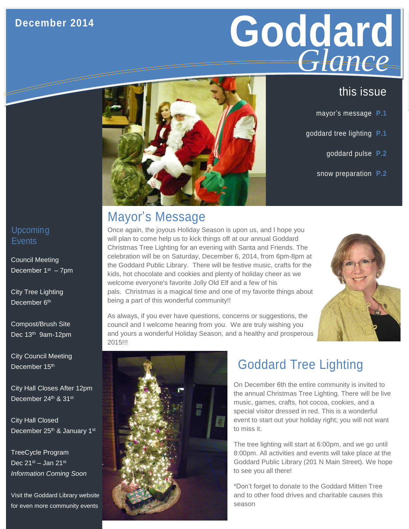#### **December 2014**

# Goddard **GLANCE** *Glance*

- mayor's message **P.1**
- goddard tree lighting **P.1**
	- goddard pulse **P.2**
	- snow preparation **P.2**



#### Upcoming **Events**

Council Meeting December  $1<sup>st</sup> - 7<sup>pm</sup>$ 

City Tree Lighting December 6<sup>th</sup>

 Compost/Brush Site Dec 13<sup>th</sup> 9am-12pm

City Council Meeting December 15<sup>th</sup>

City Hall Closes After 12pm December 24th & 31st

City Hall Closed December 25<sup>th</sup> & January 1<sup>st</sup>

TreeCycle Program Dec  $21<sup>st</sup>$  – Jan  $21<sup>st</sup>$ *Information Coming Soon*

Visit the Goddard Library website for even more community events

## Mayor's Message

Once again, the joyous Holiday Season is upon us, and I hope you will plan to come help us to kick things off at our annual Goddard Christmas Tree Lighting for an evening with Santa and Friends. The celebration will be on Saturday, December 6, 2014, from 6pm-8pm at the Goddard Public Library. There will be festive music, crafts for the kids, hot chocolate and cookies and plenty of holiday cheer as we welcome everyone's favorite Jolly Old Elf and a few of his pals. Christmas is a magical time and one of my favorite things about being a part of this wonderful community!!



As always, if you ever have questions, concerns or suggestions, the council and I welcome hearing from you. We are truly wishing you and yours a wonderful Holiday Season, and a healthy and prosperous 2015!!!



# Goddard Tree Lighting

On December 6th the entire community is invited to the annual Christmas Tree Lighting. There will be live music, games, crafts, hot cocoa, cookies, and a special visitor dressed in red. This is a wonderful event to start out your holiday right; you will not want to miss it.

The tree lighting will start at 6:00pm, and we go until 8:00pm. All activities and events will take place at the Goddard Public Library (201 N Main Street). We hope to see you all there!

\*Don't forget to donate to the Goddard Mitten Tree and to other food drives and charitable causes this season